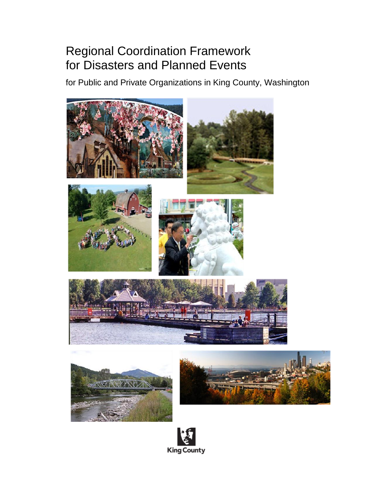# Regional Coordination Framework for Disasters and Planned Events

for Public and Private Organizations in King County, Washington







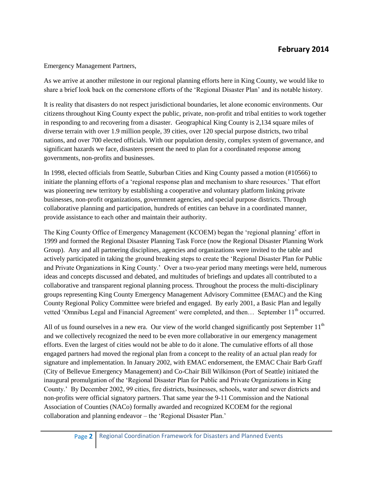#### **February 2014**

Emergency Management Partners,

As we arrive at another milestone in our regional planning efforts here in King County, we would like to share a brief look back on the cornerstone efforts of the 'Regional Disaster Plan' and its notable history.

It is reality that disasters do not respect jurisdictional boundaries, let alone economic environments. Our citizens throughout King County expect the public, private, non-profit and tribal entities to work together in responding to and recovering from a disaster. Geographical King County is 2,134 square miles of diverse terrain with over 1.9 million people, 39 cities, over 120 special purpose districts, two tribal nations, and over 700 elected officials. With our population density, complex system of governance, and significant hazards we face, disasters present the need to plan for a coordinated response among governments, non-profits and businesses.

In 1998, elected officials from Seattle, Suburban Cities and King County passed a motion (#10566) to initiate the planning efforts of a 'regional response plan and mechanism to share resources.' That effort was pioneering new territory by establishing a cooperative and voluntary platform linking private businesses, non-profit organizations, government agencies, and special purpose districts. Through collaborative planning and participation, hundreds of entities can behave in a coordinated manner, provide assistance to each other and maintain their authority.

The King County Office of Emergency Management (KCOEM) began the 'regional planning' effort in 1999 and formed the Regional Disaster Planning Task Force (now the Regional Disaster Planning Work Group). Any and all partnering disciplines, agencies and organizations were invited to the table and actively participated in taking the ground breaking steps to create the 'Regional Disaster Plan for Public and Private Organizations in King County.' Over a two-year period many meetings were held, numerous ideas and concepts discussed and debated, and multitudes of briefings and updates all contributed to a collaborative and transparent regional planning process. Throughout the process the multi-disciplinary groups representing King County Emergency Management Advisory Committee (EMAC) and the King County Regional Policy Committee were briefed and engaged. By early 2001, a Basic Plan and legally vetted 'Omnibus Legal and Financial Agreement' were completed, and then... September 11<sup>th</sup> occurred.

All of us found ourselves in a new era. Our view of the world changed significantly post September  $11<sup>th</sup>$ and we collectively recognized the need to be even more collaborative in our emergency management efforts. Even the largest of cities would not be able to do it alone. The cumulative efforts of all those engaged partners had moved the regional plan from a concept to the reality of an actual plan ready for signature and implementation. In January 2002, with EMAC endorsement, the EMAC Chair Barb Graff (City of Bellevue Emergency Management) and Co-Chair Bill Wilkinson (Port of Seattle) initiated the inaugural promulgation of the 'Regional Disaster Plan for Public and Private Organizations in King County.' By December 2002, 99 cities, fire districts, businesses, schools, water and sewer districts and non-profits were official signatory partners. That same year the 9-11 Commission and the National Association of Counties (NACo) formally awarded and recognized KCOEM for the regional collaboration and planning endeavor – the 'Regional Disaster Plan.'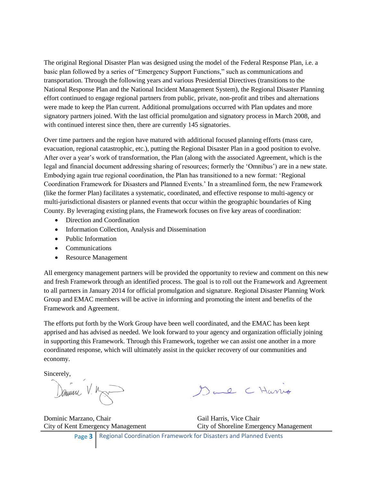The original Regional Disaster Plan was designed using the model of the Federal Response Plan, i.e. a basic plan followed by a series of "Emergency Support Functions," such as communications and transportation. Through the following years and various Presidential Directives (transitions to the National Response Plan and the National Incident Management System), the Regional Disaster Planning effort continued to engage regional partners from public, private, non-profit and tribes and alternations were made to keep the Plan current. Additional promulgations occurred with Plan updates and more signatory partners joined. With the last official promulgation and signatory process in March 2008, and with continued interest since then, there are currently 145 signatories.

Over time partners and the region have matured with additional focused planning efforts (mass care, evacuation, regional catastrophic, etc.), putting the Regional Disaster Plan in a good position to evolve. After over a year's work of transformation, the Plan (along with the associated Agreement, which is the legal and financial document addressing sharing of resources; formerly the 'Omnibus') are in a new state. Embodying again true regional coordination, the Plan has transitioned to a new format: 'Regional Coordination Framework for Disasters and Planned Events.' In a streamlined form, the new Framework (like the former Plan) facilitates a systematic, coordinated, and effective response to multi-agency or multi-jurisdictional disasters or planned events that occur within the geographic boundaries of King County. By leveraging existing plans, the Framework focuses on five key areas of coordination:

- Direction and Coordination
- Information Collection, Analysis and Dissemination
- Public Information
- Communications
- Resource Management

All emergency management partners will be provided the opportunity to review and comment on this new and fresh Framework through an identified process. The goal is to roll out the Framework and Agreement to all partners in January 2014 for official promulgation and signature. Regional Disaster Planning Work Group and EMAC members will be active in informing and promoting the intent and benefits of the Framework and Agreement.

The efforts put forth by the Work Group have been well coordinated, and the EMAC has been kept apprised and has advised as needed. We look forward to your agency and organization officially joining in supporting this Framework. Through this Framework, together we can assist one another in a more coordinated response, which will ultimately assist in the quicker recovery of our communities and economy.

Sincerely,

Danme V.M

Dominic Marzano, Chair Gail Harris, Vice Chair Gail Harris, Vice Chair

Mane C Harris

City of Kent Emergency Management City of Shoreline Emergency Management

Page **3** Regional Coordination Framework for Disasters and Planned Events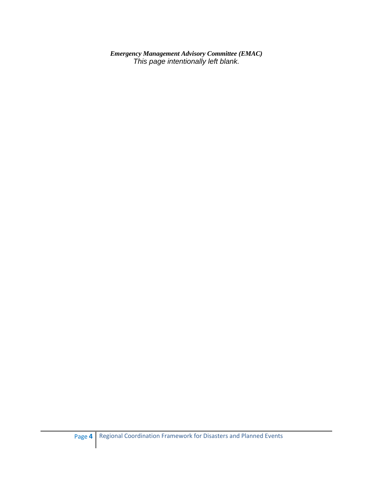*Emergency Management Advisory Committee (EMAC) This page intentionally left blank.*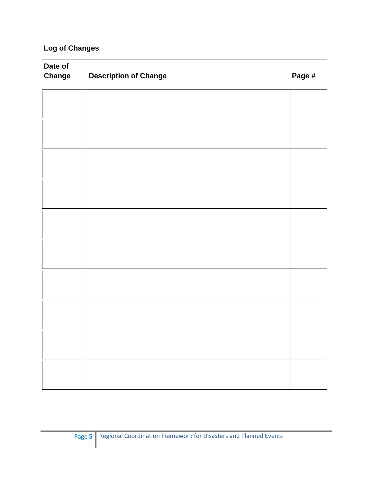# **Log of Changes**

| Date of<br>Change | <b>Description of Change</b> | Page # |
|-------------------|------------------------------|--------|
|                   |                              |        |
|                   |                              |        |
|                   |                              |        |
|                   |                              |        |
|                   |                              |        |
|                   |                              |        |
|                   |                              |        |
|                   |                              |        |
|                   |                              |        |
|                   |                              |        |
|                   |                              |        |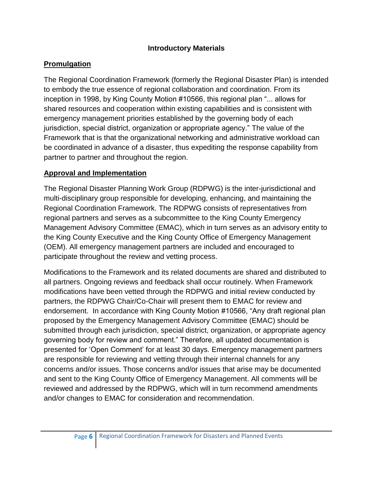#### **Introductory Materials**

#### **Promulgation**

The Regional Coordination Framework (formerly the Regional Disaster Plan) is intended to embody the true essence of regional collaboration and coordination. From its inception in 1998, by King County Motion #10566, this regional plan "... allows for shared resources and cooperation within existing capabilities and is consistent with emergency management priorities established by the governing body of each jurisdiction, special district, organization or appropriate agency." The value of the Framework that is that the organizational networking and administrative workload can be coordinated in advance of a disaster, thus expediting the response capability from partner to partner and throughout the region.

#### **Approval and Implementation**

The Regional Disaster Planning Work Group (RDPWG) is the inter-jurisdictional and multi-disciplinary group responsible for developing, enhancing, and maintaining the Regional Coordination Framework. The RDPWG consists of representatives from regional partners and serves as a subcommittee to the King County Emergency Management Advisory Committee (EMAC), which in turn serves as an advisory entity to the King County Executive and the King County Office of Emergency Management (OEM). All emergency management partners are included and encouraged to participate throughout the review and vetting process.

Modifications to the Framework and its related documents are shared and distributed to all partners. Ongoing reviews and feedback shall occur routinely. When Framework modifications have been vetted through the RDPWG and initial review conducted by partners, the RDPWG Chair/Co-Chair will present them to EMAC for review and endorsement. In accordance with King County Motion #10566, "Any draft regional plan proposed by the Emergency Management Advisory Committee (EMAC) should be submitted through each jurisdiction, special district, organization, or appropriate agency governing body for review and comment." Therefore, all updated documentation is presented for 'Open Comment' for at least 30 days. Emergency management partners are responsible for reviewing and vetting through their internal channels for any concerns and/or issues. Those concerns and/or issues that arise may be documented and sent to the King County Office of Emergency Management. All comments will be reviewed and addressed by the RDPWG, which will in turn recommend amendments and/or changes to EMAC for consideration and recommendation.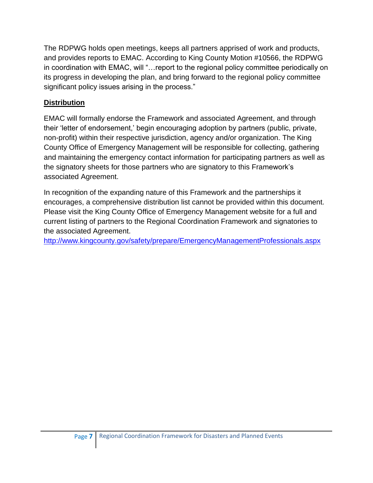The RDPWG holds open meetings, keeps all partners apprised of work and products, and provides reports to EMAC. According to King County Motion #10566, the RDPWG in coordination with EMAC, will "…report to the regional policy committee periodically on its progress in developing the plan, and bring forward to the regional policy committee significant policy issues arising in the process."

#### **Distribution**

EMAC will formally endorse the Framework and associated Agreement, and through their 'letter of endorsement,' begin encouraging adoption by partners (public, private, non-profit) within their respective jurisdiction, agency and/or organization. The King County Office of Emergency Management will be responsible for collecting, gathering and maintaining the emergency contact information for participating partners as well as the signatory sheets for those partners who are signatory to this Framework's associated Agreement.

In recognition of the expanding nature of this Framework and the partnerships it encourages, a comprehensive distribution list cannot be provided within this document. Please visit the King County Office of Emergency Management website for a full and current listing of partners to the Regional Coordination Framework and signatories to the associated Agreement.

<http://www.kingcounty.gov/safety/prepare/EmergencyManagementProfessionals.aspx>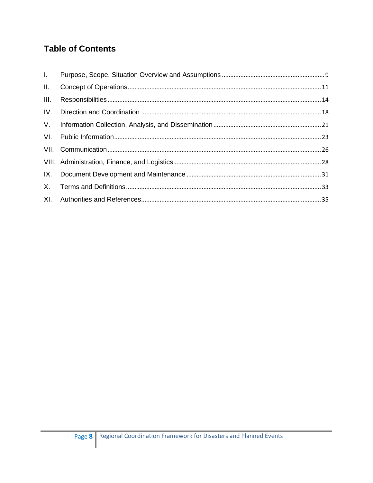# **Table of Contents**

| $\mathbf{L}$   |  |
|----------------|--|
| $\mathbb{I}$ . |  |
| III.           |  |
| IV.            |  |
| V.             |  |
| VI.            |  |
|                |  |
|                |  |
|                |  |
| X.             |  |
|                |  |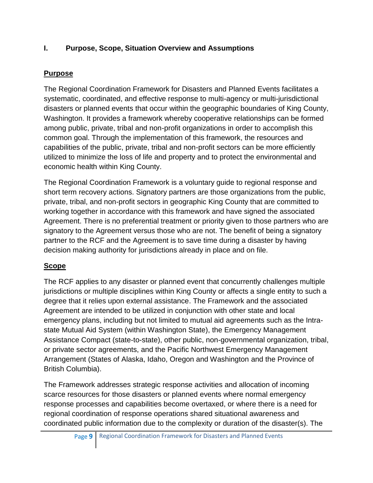#### <span id="page-8-0"></span>**I. Purpose, Scope, Situation Overview and Assumptions**

#### **Purpose**

The Regional Coordination Framework for Disasters and Planned Events facilitates a systematic, coordinated, and effective response to multi-agency or multi-jurisdictional disasters or planned events that occur within the geographic boundaries of King County, Washington. It provides a framework whereby cooperative relationships can be formed among public, private, tribal and non-profit organizations in order to accomplish this common goal. Through the implementation of this framework, the resources and capabilities of the public, private, tribal and non-profit sectors can be more efficiently utilized to minimize the loss of life and property and to protect the environmental and economic health within King County.

The Regional Coordination Framework is a voluntary guide to regional response and short term recovery actions. Signatory partners are those organizations from the public, private, tribal, and non-profit sectors in geographic King County that are committed to working together in accordance with this framework and have signed the associated Agreement. There is no preferential treatment or priority given to those partners who are signatory to the Agreement versus those who are not. The benefit of being a signatory partner to the RCF and the Agreement is to save time during a disaster by having decision making authority for jurisdictions already in place and on file.

# **Scope**

The RCF applies to any disaster or planned event that concurrently challenges multiple jurisdictions or multiple disciplines within King County or affects a single entity to such a degree that it relies upon external assistance. The Framework and the associated Agreement are intended to be utilized in conjunction with other state and local emergency plans, including but not limited to mutual aid agreements such as the Intrastate Mutual Aid System (within Washington State), the Emergency Management Assistance Compact (state-to-state), other public, non-governmental organization, tribal, or private sector agreements, and the Pacific Northwest Emergency Management Arrangement (States of Alaska, Idaho, Oregon and Washington and the Province of British Columbia).

The Framework addresses strategic response activities and allocation of incoming scarce resources for those disasters or planned events where normal emergency response processes and capabilities become overtaxed, or where there is a need for regional coordination of response operations shared situational awareness and coordinated public information due to the complexity or duration of the disaster(s). The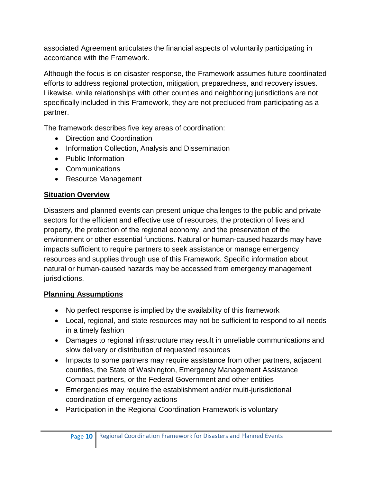associated Agreement articulates the financial aspects of voluntarily participating in accordance with the Framework.

Although the focus is on disaster response, the Framework assumes future coordinated efforts to address regional protection, mitigation, preparedness, and recovery issues. Likewise, while relationships with other counties and neighboring jurisdictions are not specifically included in this Framework, they are not precluded from participating as a partner.

The framework describes five key areas of coordination:

- Direction and Coordination
- Information Collection, Analysis and Dissemination
- Public Information
- Communications
- Resource Management

# **Situation Overview**

Disasters and planned events can present unique challenges to the public and private sectors for the efficient and effective use of resources, the protection of lives and property, the protection of the regional economy, and the preservation of the environment or other essential functions. Natural or human-caused hazards may have impacts sufficient to require partners to seek assistance or manage emergency resources and supplies through use of this Framework. Specific information about natural or human-caused hazards may be accessed from emergency management jurisdictions.

# **Planning Assumptions**

- No perfect response is implied by the availability of this framework
- Local, regional, and state resources may not be sufficient to respond to all needs in a timely fashion
- Damages to regional infrastructure may result in unreliable communications and slow delivery or distribution of requested resources
- Impacts to some partners may require assistance from other partners, adjacent counties, the State of Washington, Emergency Management Assistance Compact partners, or the Federal Government and other entities
- Emergencies may require the establishment and/or multi-jurisdictional coordination of emergency actions
- Participation in the Regional Coordination Framework is voluntary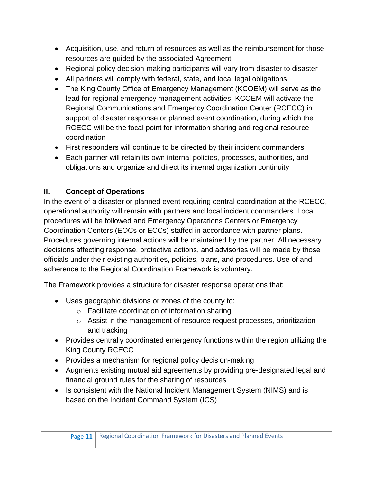- Acquisition, use, and return of resources as well as the reimbursement for those resources are guided by the associated Agreement
- Regional policy decision-making participants will vary from disaster to disaster
- All partners will comply with federal, state, and local legal obligations
- The King County Office of Emergency Management (KCOEM) will serve as the lead for regional emergency management activities. KCOEM will activate the Regional Communications and Emergency Coordination Center (RCECC) in support of disaster response or planned event coordination, during which the RCECC will be the focal point for information sharing and regional resource coordination
- First responders will continue to be directed by their incident commanders
- Each partner will retain its own internal policies, processes, authorities, and obligations and organize and direct its internal organization continuity

# <span id="page-10-0"></span>**II. Concept of Operations**

In the event of a disaster or planned event requiring central coordination at the RCECC, operational authority will remain with partners and local incident commanders. Local procedures will be followed and Emergency Operations Centers or Emergency Coordination Centers (EOCs or ECCs) staffed in accordance with partner plans. Procedures governing internal actions will be maintained by the partner. All necessary decisions affecting response, protective actions, and advisories will be made by those officials under their existing authorities, policies, plans, and procedures. Use of and adherence to the Regional Coordination Framework is voluntary.

The Framework provides a structure for disaster response operations that:

- Uses geographic divisions or zones of the county to:
	- o Facilitate coordination of information sharing
	- o Assist in the management of resource request processes, prioritization and tracking
- Provides centrally coordinated emergency functions within the region utilizing the King County RCECC
- Provides a mechanism for regional policy decision-making
- Augments existing mutual aid agreements by providing pre-designated legal and financial ground rules for the sharing of resources
- Is consistent with the National Incident Management System (NIMS) and is based on the Incident Command System (ICS)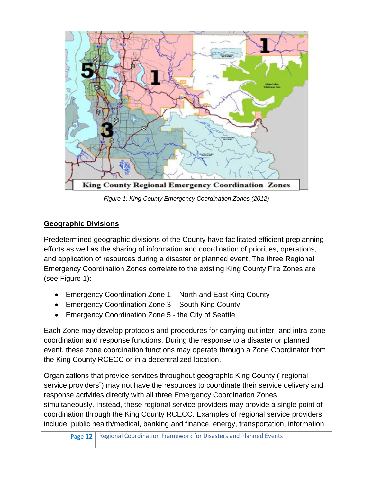

*Figure 1: King County Emergency Coordination Zones (2012)*

# **Geographic Divisions**

Predetermined geographic divisions of the County have facilitated efficient preplanning efforts as well as the sharing of information and coordination of priorities, operations, and application of resources during a disaster or planned event. The three Regional Emergency Coordination Zones correlate to the existing King County Fire Zones are (see Figure 1):

- Emergency Coordination Zone 1 North and East King County
- Emergency Coordination Zone 3 South King County
- Emergency Coordination Zone 5 the City of Seattle

Each Zone may develop protocols and procedures for carrying out inter- and intra-zone coordination and response functions. During the response to a disaster or planned event, these zone coordination functions may operate through a Zone Coordinator from the King County RCECC or in a decentralized location.

Organizations that provide services throughout geographic King County ("regional service providers") may not have the resources to coordinate their service delivery and response activities directly with all three Emergency Coordination Zones simultaneously. Instead, these regional service providers may provide a single point of coordination through the King County RCECC. Examples of regional service providers include: public health/medical, banking and finance, energy, transportation, information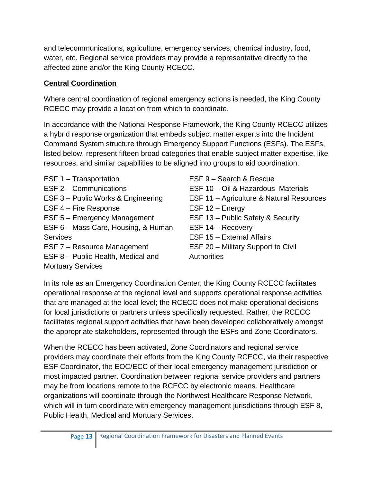and telecommunications, agriculture, emergency services, chemical industry, food, water, etc. Regional service providers may provide a representative directly to the affected zone and/or the King County RCECC.

# **Central Coordination**

Where central coordination of regional emergency actions is needed, the King County RCECC may provide a location from which to coordinate.

In accordance with the National Response Framework, the King County RCECC utilizes a hybrid response organization that embeds subject matter experts into the Incident Command System structure through Emergency Support Functions (ESFs). The ESFs, listed below, represent fifteen broad categories that enable subject matter expertise, like resources, and similar capabilities to be aligned into groups to aid coordination.

ESF 1 – Transportation ESF 2 – Communications ESF 3 – Public Works & Engineering ESF 4 – Fire Response ESF 5 – Emergency Management ESF 6 – Mass Care, Housing, & Human **Services** ESF 7 – Resource Management ESF 8 – Public Health, Medical and Mortuary Services

ESF 9 – Search & Rescue ESF 10 – Oil & Hazardous Materials ESF 11 – Agriculture & Natural Resources ESF 12 – Energy ESF 13 – Public Safety & Security ESF 14 – Recovery ESF 15 – External Affairs ESF 20 – Military Support to Civil **Authorities** 

In its role as an Emergency Coordination Center, the King County RCECC facilitates operational response at the regional level and supports operational response activities that are managed at the local level; the RCECC does not make operational decisions for local jurisdictions or partners unless specifically requested. Rather, the RCECC facilitates regional support activities that have been developed collaboratively amongst the appropriate stakeholders, represented through the ESFs and Zone Coordinators.

When the RCECC has been activated, Zone Coordinators and regional service providers may coordinate their efforts from the King County RCECC, via their respective ESF Coordinator, the EOC/ECC of their local emergency management jurisdiction or most impacted partner. Coordination between regional service providers and partners may be from locations remote to the RCECC by electronic means. Healthcare organizations will coordinate through the Northwest Healthcare Response Network, which will in turn coordinate with emergency management jurisdictions through ESF 8, Public Health, Medical and Mortuary Services.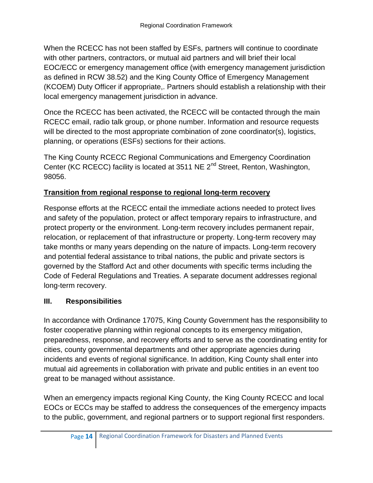When the RCECC has not been staffed by ESFs, partners will continue to coordinate with other partners, contractors, or mutual aid partners and will brief their local EOC/ECC or emergency management office (with emergency management jurisdiction as defined in RCW 38.52) and the King County Office of Emergency Management (KCOEM) Duty Officer if appropriate,. Partners should establish a relationship with their local emergency management jurisdiction in advance.

Once the RCECC has been activated, the RCECC will be contacted through the main RCECC email, radio talk group, or phone number. Information and resource requests will be directed to the most appropriate combination of zone coordinator(s), logistics, planning, or operations (ESFs) sections for their actions.

The King County RCECC Regional Communications and Emergency Coordination Center (KC RCECC) facility is located at 3511 NE 2<sup>nd</sup> Street, Renton, Washington, 98056.

#### **Transition from regional response to regional long-term recovery**

Response efforts at the RCECC entail the immediate actions needed to protect lives and safety of the population, protect or affect temporary repairs to infrastructure, and protect property or the environment. Long-term recovery includes permanent repair, relocation, or replacement of that infrastructure or property. Long-term recovery may take months or many years depending on the nature of impacts. Long-term recovery and potential federal assistance to tribal nations, the public and private sectors is governed by the Stafford Act and other documents with specific terms including the Code of Federal Regulations and Treaties. A separate document addresses regional long-term recovery.

#### <span id="page-13-0"></span>**III. Responsibilities**

In accordance with Ordinance 17075, King County Government has the responsibility to foster cooperative planning within regional concepts to its emergency mitigation, preparedness, response, and recovery efforts and to serve as the coordinating entity for cities, county governmental departments and other appropriate agencies during incidents and events of regional significance. In addition, King County shall enter into mutual aid agreements in collaboration with private and public entities in an event too great to be managed without assistance.

When an emergency impacts regional King County, the King County RCECC and local EOCs or ECCs may be staffed to address the consequences of the emergency impacts to the public, government, and regional partners or to support regional first responders.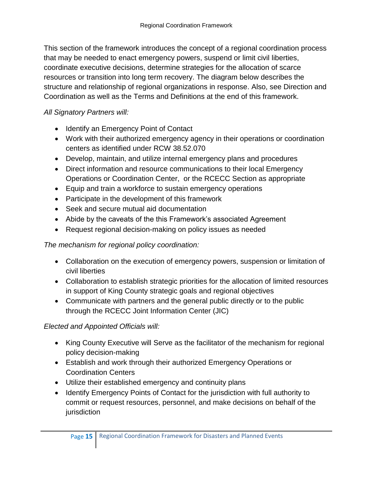This section of the framework introduces the concept of a regional coordination process that may be needed to enact emergency powers, suspend or limit civil liberties, coordinate executive decisions, determine strategies for the allocation of scarce resources or transition into long term recovery. The diagram below describes the structure and relationship of regional organizations in response. Also, see Direction and Coordination as well as the Terms and Definitions at the end of this framework.

#### *All Signatory Partners will:*

- Identify an Emergency Point of Contact
- Work with their authorized emergency agency in their operations or coordination centers as identified under RCW 38.52.070
- Develop, maintain, and utilize internal emergency plans and procedures
- Direct information and resource communications to their local Emergency Operations or Coordination Center, or the RCECC Section as appropriate
- Equip and train a workforce to sustain emergency operations
- Participate in the development of this framework
- Seek and secure mutual aid documentation
- Abide by the caveats of the this Framework's associated Agreement
- Request regional decision-making on policy issues as needed

#### *The mechanism for regional policy coordination:*

- Collaboration on the execution of emergency powers, suspension or limitation of civil liberties
- Collaboration to establish strategic priorities for the allocation of limited resources in support of King County strategic goals and regional objectives
- Communicate with partners and the general public directly or to the public through the RCECC Joint Information Center (JIC)

#### *Elected and Appointed Officials will:*

- King County Executive will Serve as the facilitator of the mechanism for regional policy decision-making
- Establish and work through their authorized Emergency Operations or Coordination Centers
- Utilize their established emergency and continuity plans
- Identify Emergency Points of Contact for the jurisdiction with full authority to commit or request resources, personnel, and make decisions on behalf of the jurisdiction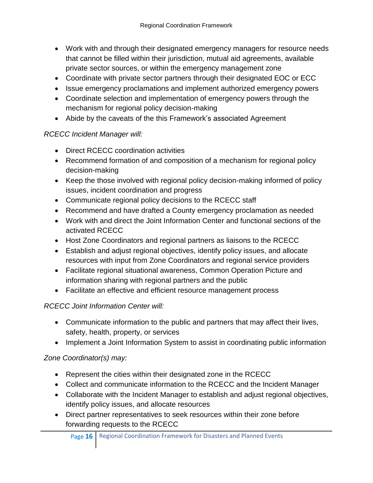- Work with and through their designated emergency managers for resource needs that cannot be filled within their jurisdiction, mutual aid agreements, available private sector sources, or within the emergency management zone
- Coordinate with private sector partners through their designated EOC or ECC
- Issue emergency proclamations and implement authorized emergency powers
- Coordinate selection and implementation of emergency powers through the mechanism for regional policy decision-making
- Abide by the caveats of the this Framework's associated Agreement

#### *RCECC Incident Manager will:*

- Direct RCECC coordination activities
- Recommend formation of and composition of a mechanism for regional policy decision-making
- Keep the those involved with regional policy decision-making informed of policy issues, incident coordination and progress
- Communicate regional policy decisions to the RCECC staff
- Recommend and have drafted a County emergency proclamation as needed
- Work with and direct the Joint Information Center and functional sections of the activated RCECC
- Host Zone Coordinators and regional partners as liaisons to the RCECC
- Establish and adjust regional objectives, identify policy issues, and allocate resources with input from Zone Coordinators and regional service providers
- Facilitate regional situational awareness, Common Operation Picture and information sharing with regional partners and the public
- Facilitate an effective and efficient resource management process

# *RCECC Joint Information Center will:*

- Communicate information to the public and partners that may affect their lives, safety, health, property, or services
- Implement a Joint Information System to assist in coordinating public information

# *Zone Coordinator(s) may:*

- Represent the cities within their designated zone in the RCECC
- Collect and communicate information to the RCECC and the Incident Manager
- Collaborate with the Incident Manager to establish and adjust regional objectives, identify policy issues, and allocate resources
- Direct partner representatives to seek resources within their zone before forwarding requests to the RCECC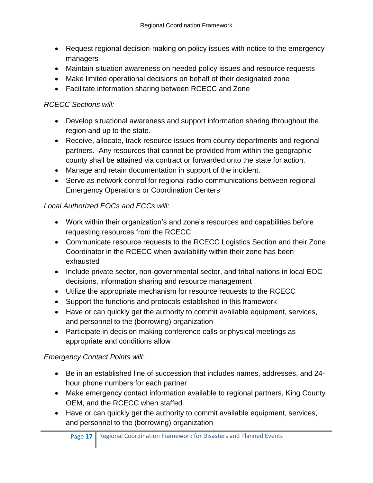- Request regional decision-making on policy issues with notice to the emergency managers
- Maintain situation awareness on needed policy issues and resource requests
- Make limited operational decisions on behalf of their designated zone
- Facilitate information sharing between RCECC and Zone

#### *RCECC Sections will:*

- Develop situational awareness and support information sharing throughout the region and up to the state.
- Receive, allocate, track resource issues from county departments and regional partners. Any resources that cannot be provided from within the geographic county shall be attained via contract or forwarded onto the state for action.
- Manage and retain documentation in support of the incident.
- Serve as network control for regional radio communications between regional Emergency Operations or Coordination Centers

#### *Local Authorized EOCs and ECCs will:*

- Work within their organization's and zone's resources and capabilities before requesting resources from the RCECC
- Communicate resource requests to the RCECC Logistics Section and their Zone Coordinator in the RCECC when availability within their zone has been exhausted
- Include private sector, non-governmental sector, and tribal nations in local EOC decisions, information sharing and resource management
- Utilize the appropriate mechanism for resource requests to the RCECC
- Support the functions and protocols established in this framework
- Have or can quickly get the authority to commit available equipment, services, and personnel to the (borrowing) organization
- Participate in decision making conference calls or physical meetings as appropriate and conditions allow

#### *Emergency Contact Points will:*

- Be in an established line of succession that includes names, addresses, and 24 hour phone numbers for each partner
- Make emergency contact information available to regional partners, King County OEM, and the RCECC when staffed
- Have or can quickly get the authority to commit available equipment, services, and personnel to the (borrowing) organization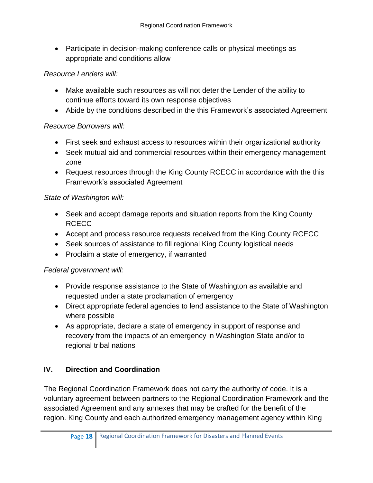• Participate in decision-making conference calls or physical meetings as appropriate and conditions allow

#### *Resource Lenders will:*

- Make available such resources as will not deter the Lender of the ability to continue efforts toward its own response objectives
- Abide by the conditions described in the this Framework's associated Agreement

#### *Resource Borrowers will:*

- First seek and exhaust access to resources within their organizational authority
- Seek mutual aid and commercial resources within their emergency management zone
- Request resources through the King County RCECC in accordance with the this Framework's associated Agreement

#### *State of Washington will:*

- Seek and accept damage reports and situation reports from the King County RCECC
- Accept and process resource requests received from the King County RCECC
- Seek sources of assistance to fill regional King County logistical needs
- Proclaim a state of emergency, if warranted

#### *Federal government will:*

- Provide response assistance to the State of Washington as available and requested under a state proclamation of emergency
- Direct appropriate federal agencies to lend assistance to the State of Washington where possible
- As appropriate, declare a state of emergency in support of response and recovery from the impacts of an emergency in Washington State and/or to regional tribal nations

#### <span id="page-17-0"></span>**IV. Direction and Coordination**

The Regional Coordination Framework does not carry the authority of code. It is a voluntary agreement between partners to the Regional Coordination Framework and the associated Agreement and any annexes that may be crafted for the benefit of the region. King County and each authorized emergency management agency within King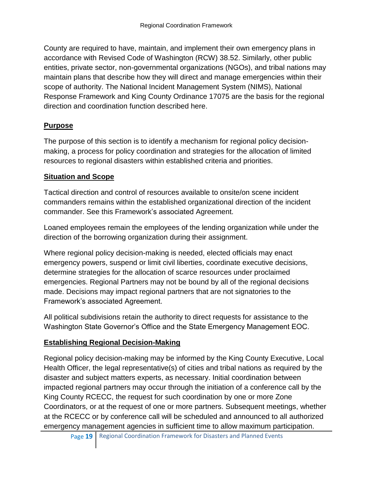County are required to have, maintain, and implement their own emergency plans in accordance with Revised Code of Washington (RCW) 38.52. Similarly, other public entities, private sector, non-governmental organizations (NGOs), and tribal nations may maintain plans that describe how they will direct and manage emergencies within their scope of authority. The National Incident Management System (NIMS), National Response Framework and King County Ordinance 17075 are the basis for the regional direction and coordination function described here.

# **Purpose**

The purpose of this section is to identify a mechanism for regional policy decisionmaking, a process for policy coordination and strategies for the allocation of limited resources to regional disasters within established criteria and priorities.

#### **Situation and Scope**

Tactical direction and control of resources available to onsite/on scene incident commanders remains within the established organizational direction of the incident commander. See this Framework's associated Agreement.

Loaned employees remain the employees of the lending organization while under the direction of the borrowing organization during their assignment.

Where regional policy decision-making is needed, elected officials may enact emergency powers, suspend or limit civil liberties, coordinate executive decisions, determine strategies for the allocation of scarce resources under proclaimed emergencies. Regional Partners may not be bound by all of the regional decisions made. Decisions may impact regional partners that are not signatories to the Framework's associated Agreement.

All political subdivisions retain the authority to direct requests for assistance to the Washington State Governor's Office and the State Emergency Management EOC.

# **Establishing Regional Decision-Making**

Regional policy decision-making may be informed by the King County Executive, Local Health Officer, the legal representative(s) of cities and tribal nations as required by the disaster and subject matters experts, as necessary. Initial coordination between impacted regional partners may occur through the initiation of a conference call by the King County RCECC, the request for such coordination by one or more Zone Coordinators, or at the request of one or more partners. Subsequent meetings, whether at the RCECC or by conference call will be scheduled and announced to all authorized emergency management agencies in sufficient time to allow maximum participation.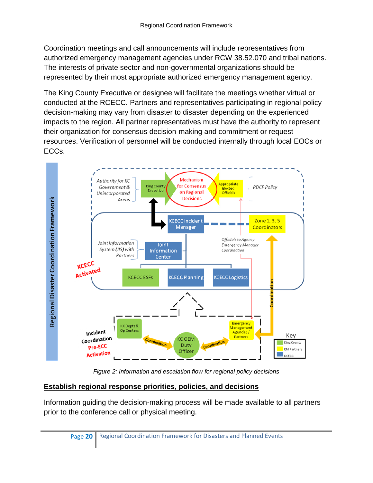Coordination meetings and call announcements will include representatives from authorized emergency management agencies under RCW 38.52.070 and tribal nations. The interests of private sector and non-governmental organizations should be represented by their most appropriate authorized emergency management agency.

The King County Executive or designee will facilitate the meetings whether virtual or conducted at the RCECC. Partners and representatives participating in regional policy decision-making may vary from disaster to disaster depending on the experienced impacts to the region. All partner representatives must have the authority to represent their organization for consensus decision-making and commitment or request resources. Verification of personnel will be conducted internally through local EOCs or ECCs.



*Figure 2: Information and escalation flow for regional policy decisions*

#### **Establish regional response priorities, policies, and decisions**

Information guiding the decision-making process will be made available to all partners prior to the conference call or physical meeting.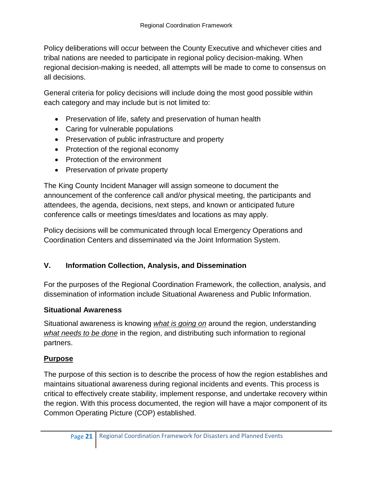Policy deliberations will occur between the County Executive and whichever cities and tribal nations are needed to participate in regional policy decision-making. When regional decision-making is needed, all attempts will be made to come to consensus on all decisions.

General criteria for policy decisions will include doing the most good possible within each category and may include but is not limited to:

- Preservation of life, safety and preservation of human health
- Caring for vulnerable populations
- Preservation of public infrastructure and property
- Protection of the regional economy
- Protection of the environment
- Preservation of private property

The King County Incident Manager will assign someone to document the announcement of the conference call and/or physical meeting, the participants and attendees, the agenda, decisions, next steps, and known or anticipated future conference calls or meetings times/dates and locations as may apply.

Policy decisions will be communicated through local Emergency Operations and Coordination Centers and disseminated via the Joint Information System.

# <span id="page-20-0"></span>**V. Information Collection, Analysis, and Dissemination**

For the purposes of the Regional Coordination Framework, the collection, analysis, and dissemination of information include Situational Awareness and Public Information.

#### **Situational Awareness**

Situational awareness is knowing *what is going on* around the region, understanding *what needs to be done* in the region, and distributing such information to regional partners.

#### **Purpose**

The purpose of this section is to describe the process of how the region establishes and maintains situational awareness during regional incidents and events. This process is critical to effectively create stability, implement response, and undertake recovery within the region. With this process documented, the region will have a major component of its Common Operating Picture (COP) established.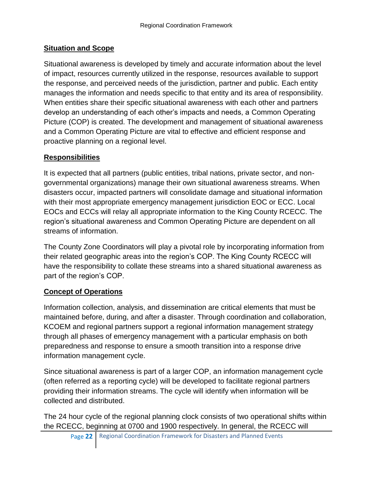#### **Situation and Scope**

Situational awareness is developed by timely and accurate information about the level of impact, resources currently utilized in the response, resources available to support the response, and perceived needs of the jurisdiction, partner and public. Each entity manages the information and needs specific to that entity and its area of responsibility. When entities share their specific situational awareness with each other and partners develop an understanding of each other's impacts and needs, a Common Operating Picture (COP) is created. The development and management of situational awareness and a Common Operating Picture are vital to effective and efficient response and proactive planning on a regional level.

#### **Responsibilities**

It is expected that all partners (public entities, tribal nations, private sector, and nongovernmental organizations) manage their own situational awareness streams. When disasters occur, impacted partners will consolidate damage and situational information with their most appropriate emergency management jurisdiction EOC or ECC. Local EOCs and ECCs will relay all appropriate information to the King County RCECC. The region's situational awareness and Common Operating Picture are dependent on all streams of information.

The County Zone Coordinators will play a pivotal role by incorporating information from their related geographic areas into the region's COP. The King County RCECC will have the responsibility to collate these streams into a shared situational awareness as part of the region's COP.

#### **Concept of Operations**

Information collection, analysis, and dissemination are critical elements that must be maintained before, during, and after a disaster. Through coordination and collaboration, KCOEM and regional partners support a regional information management strategy through all phases of emergency management with a particular emphasis on both preparedness and response to ensure a smooth transition into a response drive information management cycle.

Since situational awareness is part of a larger COP, an information management cycle (often referred as a reporting cycle) will be developed to facilitate regional partners providing their information streams. The cycle will identify when information will be collected and distributed.

The 24 hour cycle of the regional planning clock consists of two operational shifts within the RCECC, beginning at 0700 and 1900 respectively. In general, the RCECC will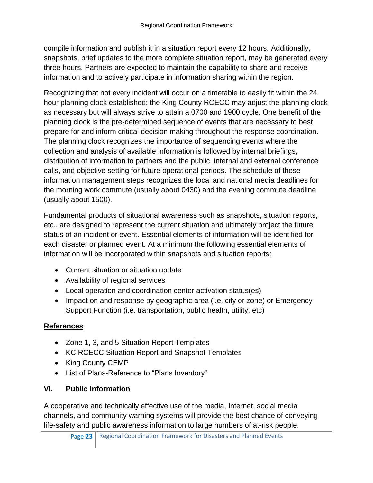compile information and publish it in a situation report every 12 hours. Additionally, snapshots, brief updates to the more complete situation report, may be generated every three hours. Partners are expected to maintain the capability to share and receive information and to actively participate in information sharing within the region.

Recognizing that not every incident will occur on a timetable to easily fit within the 24 hour planning clock established; the King County RCECC may adjust the planning clock as necessary but will always strive to attain a 0700 and 1900 cycle. One benefit of the planning clock is the pre-determined sequence of events that are necessary to best prepare for and inform critical decision making throughout the response coordination. The planning clock recognizes the importance of sequencing events where the collection and analysis of available information is followed by internal briefings, distribution of information to partners and the public, internal and external conference calls, and objective setting for future operational periods. The schedule of these information management steps recognizes the local and national media deadlines for the morning work commute (usually about 0430) and the evening commute deadline (usually about 1500).

Fundamental products of situational awareness such as snapshots, situation reports, etc., are designed to represent the current situation and ultimately project the future status of an incident or event. Essential elements of information will be identified for each disaster or planned event. At a minimum the following essential elements of information will be incorporated within snapshots and situation reports:

- Current situation or situation update
- Availability of regional services
- Local operation and coordination center activation status(es)
- Impact on and response by geographic area (i.e. city or zone) or Emergency Support Function (i.e. transportation, public health, utility, etc)

# **References**

- Zone 1, 3, and 5 Situation Report Templates
- KC RCECC Situation Report and Snapshot Templates
- King County CEMP
- List of Plans-Reference to "Plans Inventory"

# <span id="page-22-0"></span>**VI. Public Information**

A cooperative and technically effective use of the media, Internet, social media channels, and community warning systems will provide the best chance of conveying life-safety and public awareness information to large numbers of at-risk people.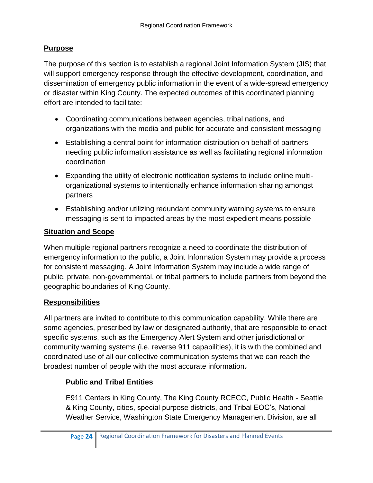#### **Purpose**

The purpose of this section is to establish a regional Joint Information System (JIS) that will support emergency response through the effective development, coordination, and dissemination of emergency public information in the event of a wide-spread emergency or disaster within King County. The expected outcomes of this coordinated planning effort are intended to facilitate:

- Coordinating communications between agencies, tribal nations, and organizations with the media and public for accurate and consistent messaging
- Establishing a central point for information distribution on behalf of partners needing public information assistance as well as facilitating regional information coordination
- Expanding the utility of electronic notification systems to include online multiorganizational systems to intentionally enhance information sharing amongst partners
- Establishing and/or utilizing redundant community warning systems to ensure messaging is sent to impacted areas by the most expedient means possible

#### **Situation and Scope**

When multiple regional partners recognize a need to coordinate the distribution of emergency information to the public, a Joint Information System may provide a process for consistent messaging. A Joint Information System may include a wide range of public, private, non-governmental, or tribal partners to include partners from beyond the geographic boundaries of King County.

# **Responsibilities**

All partners are invited to contribute to this communication capability. While there are some agencies, prescribed by law or designated authority, that are responsible to enact specific systems, such as the Emergency Alert System and other jurisdictional or community warning systems (i.e. reverse 911 capabilities), it is with the combined and coordinated use of all our collective communication systems that we can reach the broadest number of people with the most accurate information.

# **Public and Tribal Entities**

E911 Centers in King County, The King County RCECC, Public Health - Seattle & King County, cities, special purpose districts, and Tribal EOC's, National Weather Service, Washington State Emergency Management Division, are all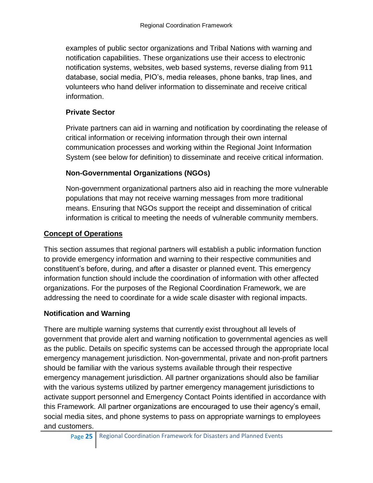examples of public sector organizations and Tribal Nations with warning and notification capabilities. These organizations use their access to electronic notification systems, websites, web based systems, reverse dialing from 911 database, social media, PIO's, media releases, phone banks, trap lines, and volunteers who hand deliver information to disseminate and receive critical information.

#### **Private Sector**

Private partners can aid in warning and notification by coordinating the release of critical information or receiving information through their own internal communication processes and working within the Regional Joint Information System (see below for definition) to disseminate and receive critical information.

# **Non-Governmental Organizations (NGOs)**

Non-government organizational partners also aid in reaching the more vulnerable populations that may not receive warning messages from more traditional means. Ensuring that NGOs support the receipt and dissemination of critical information is critical to meeting the needs of vulnerable community members.

# **Concept of Operations**

This section assumes that regional partners will establish a public information function to provide emergency information and warning to their respective communities and constituent's before, during, and after a disaster or planned event. This emergency information function should include the coordination of information with other affected organizations. For the purposes of the Regional Coordination Framework, we are addressing the need to coordinate for a wide scale disaster with regional impacts.

# **Notification and Warning**

There are multiple warning systems that currently exist throughout all levels of government that provide alert and warning notification to governmental agencies as well as the public. Details on specific systems can be accessed through the appropriate local emergency management jurisdiction. Non-governmental, private and non-profit partners should be familiar with the various systems available through their respective emergency management jurisdiction. All partner organizations should also be familiar with the various systems utilized by partner emergency management jurisdictions to activate support personnel and Emergency Contact Points identified in accordance with this Framework. All partner organizations are encouraged to use their agency's email, social media sites, and phone systems to pass on appropriate warnings to employees and customers.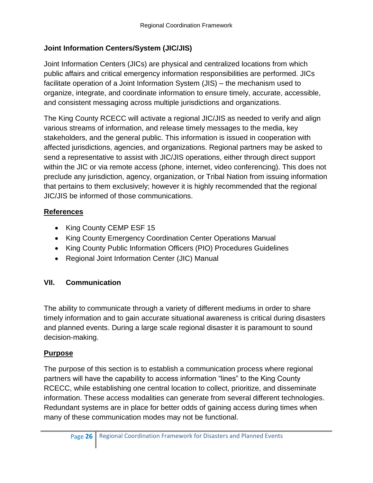#### **Joint Information Centers/System (JIC/JIS)**

Joint Information Centers (JICs) are physical and centralized locations from which public affairs and critical emergency information responsibilities are performed. JICs facilitate operation of a Joint Information System (JIS) – the mechanism used to organize, integrate, and coordinate information to ensure timely, accurate, accessible, and consistent messaging across multiple jurisdictions and organizations.

The King County RCECC will activate a regional JIC/JIS as needed to verify and align various streams of information, and release timely messages to the media, key stakeholders, and the general public. This information is issued in cooperation with affected jurisdictions, agencies, and organizations. Regional partners may be asked to send a representative to assist with JIC/JIS operations, either through direct support within the JIC or via remote access (phone, internet, video conferencing). This does not preclude any jurisdiction, agency, organization, or Tribal Nation from issuing information that pertains to them exclusively; however it is highly recommended that the regional JIC/JIS be informed of those communications.

#### **References**

- King County CEMP ESF 15
- King County Emergency Coordination Center Operations Manual
- King County Public Information Officers (PIO) Procedures Guidelines
- Regional Joint Information Center (JIC) Manual

#### <span id="page-25-0"></span>**VII. Communication**

The ability to communicate through a variety of different mediums in order to share timely information and to gain accurate situational awareness is critical during disasters and planned events. During a large scale regional disaster it is paramount to sound decision-making.

#### **Purpose**

The purpose of this section is to establish a communication process where regional partners will have the capability to access information "lines" to the King County RCECC, while establishing one central location to collect, prioritize, and disseminate information. These access modalities can generate from several different technologies. Redundant systems are in place for better odds of gaining access during times when many of these communication modes may not be functional.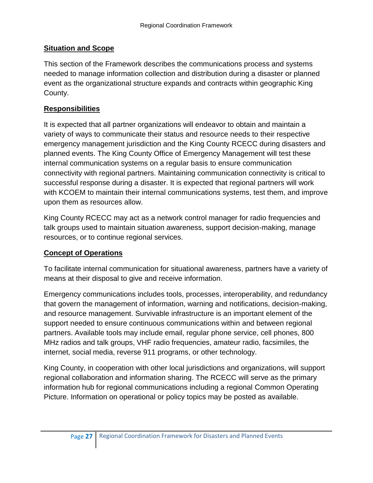#### **Situation and Scope**

This section of the Framework describes the communications process and systems needed to manage information collection and distribution during a disaster or planned event as the organizational structure expands and contracts within geographic King County.

#### **Responsibilities**

It is expected that all partner organizations will endeavor to obtain and maintain a variety of ways to communicate their status and resource needs to their respective emergency management jurisdiction and the King County RCECC during disasters and planned events. The King County Office of Emergency Management will test these internal communication systems on a regular basis to ensure communication connectivity with regional partners. Maintaining communication connectivity is critical to successful response during a disaster. It is expected that regional partners will work with KCOEM to maintain their internal communications systems, test them, and improve upon them as resources allow.

King County RCECC may act as a network control manager for radio frequencies and talk groups used to maintain situation awareness, support decision-making, manage resources, or to continue regional services.

#### **Concept of Operations**

To facilitate internal communication for situational awareness, partners have a variety of means at their disposal to give and receive information.

Emergency communications includes tools, processes, interoperability, and redundancy that govern the management of information, warning and notifications, decision-making, and resource management. Survivable infrastructure is an important element of the support needed to ensure continuous communications within and between regional partners. Available tools may include email, regular phone service, cell phones, 800 MHz radios and talk groups, VHF radio frequencies, amateur radio, facsimiles, the internet, social media, reverse 911 programs, or other technology.

King County, in cooperation with other local jurisdictions and organizations, will support regional collaboration and information sharing. The RCECC will serve as the primary information hub for regional communications including a regional Common Operating Picture. Information on operational or policy topics may be posted as available.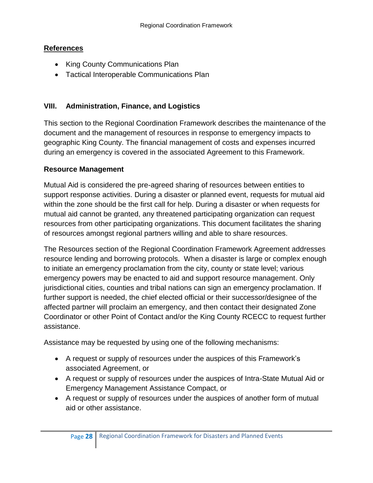#### **References**

- King County Communications Plan
- Tactical Interoperable Communications Plan

#### <span id="page-27-0"></span>**VIII. Administration, Finance, and Logistics**

This section to the Regional Coordination Framework describes the maintenance of the document and the management of resources in response to emergency impacts to geographic King County. The financial management of costs and expenses incurred during an emergency is covered in the associated Agreement to this Framework.

#### **Resource Management**

Mutual Aid is considered the pre-agreed sharing of resources between entities to support response activities. During a disaster or planned event, requests for mutual aid within the zone should be the first call for help. During a disaster or when requests for mutual aid cannot be granted, any threatened participating organization can request resources from other participating organizations. This document facilitates the sharing of resources amongst regional partners willing and able to share resources.

The Resources section of the Regional Coordination Framework Agreement addresses resource lending and borrowing protocols. When a disaster is large or complex enough to initiate an emergency proclamation from the city, county or state level; various emergency powers may be enacted to aid and support resource management. Only jurisdictional cities, counties and tribal nations can sign an emergency proclamation. If further support is needed, the chief elected official or their successor/designee of the affected partner will proclaim an emergency, and then contact their designated Zone Coordinator or other Point of Contact and/or the King County RCECC to request further assistance.

Assistance may be requested by using one of the following mechanisms:

- A request or supply of resources under the auspices of this Framework's associated Agreement, or
- A request or supply of resources under the auspices of Intra-State Mutual Aid or Emergency Management Assistance Compact, or
- A request or supply of resources under the auspices of another form of mutual aid or other assistance.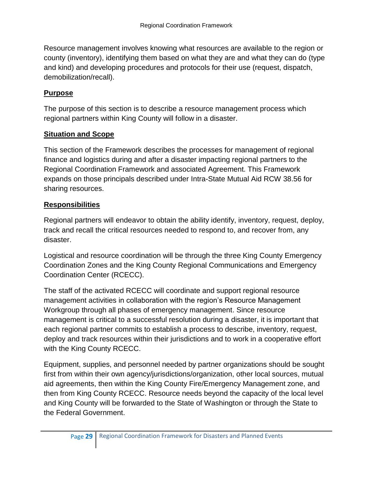Resource management involves knowing what resources are available to the region or county (inventory), identifying them based on what they are and what they can do (type and kind) and developing procedures and protocols for their use (request, dispatch, demobilization/recall).

### **Purpose**

The purpose of this section is to describe a resource management process which regional partners within King County will follow in a disaster.

#### **Situation and Scope**

This section of the Framework describes the processes for management of regional finance and logistics during and after a disaster impacting regional partners to the Regional Coordination Framework and associated Agreement. This Framework expands on those principals described under Intra-State Mutual Aid RCW 38.56 for sharing resources.

# **Responsibilities**

Regional partners will endeavor to obtain the ability identify, inventory, request, deploy, track and recall the critical resources needed to respond to, and recover from, any disaster.

Logistical and resource coordination will be through the three King County Emergency Coordination Zones and the King County Regional Communications and Emergency Coordination Center (RCECC).

The staff of the activated RCECC will coordinate and support regional resource management activities in collaboration with the region's Resource Management Workgroup through all phases of emergency management. Since resource management is critical to a successful resolution during a disaster, it is important that each regional partner commits to establish a process to describe, inventory, request, deploy and track resources within their jurisdictions and to work in a cooperative effort with the King County RCECC.

Equipment, supplies, and personnel needed by partner organizations should be sought first from within their own agency/jurisdictions/organization, other local sources, mutual aid agreements, then within the King County Fire/Emergency Management zone, and then from King County RCECC. Resource needs beyond the capacity of the local level and King County will be forwarded to the State of Washington or through the State to the Federal Government.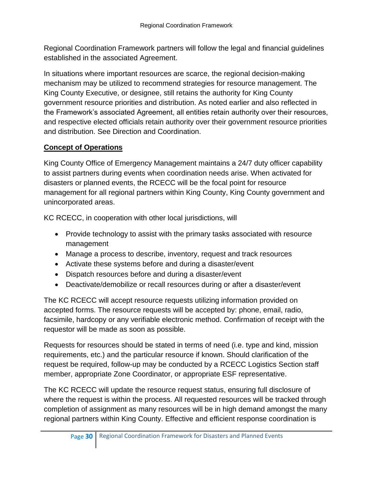Regional Coordination Framework partners will follow the legal and financial guidelines established in the associated Agreement.

In situations where important resources are scarce, the regional decision-making mechanism may be utilized to recommend strategies for resource management. The King County Executive, or designee, still retains the authority for King County government resource priorities and distribution. As noted earlier and also reflected in the Framework's associated Agreement, all entities retain authority over their resources, and respective elected officials retain authority over their government resource priorities and distribution. See Direction and Coordination.

#### **Concept of Operations**

King County Office of Emergency Management maintains a 24/7 duty officer capability to assist partners during events when coordination needs arise. When activated for disasters or planned events, the RCECC will be the focal point for resource management for all regional partners within King County, King County government and unincorporated areas.

KC RCECC, in cooperation with other local jurisdictions, will

- Provide technology to assist with the primary tasks associated with resource management
- Manage a process to describe, inventory, request and track resources
- Activate these systems before and during a disaster/event
- Dispatch resources before and during a disaster/event
- Deactivate/demobilize or recall resources during or after a disaster/event

The KC RCECC will accept resource requests utilizing information provided on accepted forms. The resource requests will be accepted by: phone, email, radio, facsimile, hardcopy or any verifiable electronic method. Confirmation of receipt with the requestor will be made as soon as possible.

Requests for resources should be stated in terms of need (i.e. type and kind, mission requirements, etc.) and the particular resource if known. Should clarification of the request be required, follow-up may be conducted by a RCECC Logistics Section staff member, appropriate Zone Coordinator, or appropriate ESF representative.

The KC RCECC will update the resource request status, ensuring full disclosure of where the request is within the process. All requested resources will be tracked through completion of assignment as many resources will be in high demand amongst the many regional partners within King County. Effective and efficient response coordination is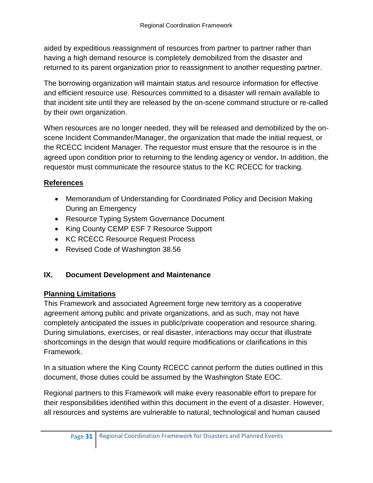aided by expeditious reassignment of resources from partner to partner rather than having a high demand resource is completely demobilized from the disaster and returned to its parent organization prior to reassignment to another requesting partner.

The borrowing organization will maintain status and resource information for effective and efficient resource use. Resources committed to a disaster will remain available to that incident site until they are released by the on-scene command structure or re-called by their own organization.

When resources are no longer needed, they will be released and demobilized by the onscene Incident Commander/Manager, the organization that made the initial request, or the RCECC Incident Manager. The requestor must ensure that the resource is in the agreed upon condition prior to returning to the lending agency or vendor**.** In addition, the requestor must communicate the resource status to the KC RCECC for tracking.

#### **References**

- Memorandum of Understanding for Coordinated Policy and Decision Making During an Emergency
- Resource Typing System Governance Document
- King County CEMP ESF 7 Resource Support
- KC RCECC Resource Request Process
- Revised Code of Washington 38.56

# <span id="page-30-0"></span>**IX. Document Development and Maintenance**

#### **Planning Limitations**

This Framework and associated Agreement forge new territory as a cooperative agreement among public and private organizations, and as such, may not have completely anticipated the issues in public/private cooperation and resource sharing. During simulations, exercises, or real disaster, interactions may occur that illustrate shortcomings in the design that would require modifications or clarifications in this Framework.

In a situation where the King County RCECC cannot perform the duties outlined in this document, those duties could be assumed by the Washington State EOC.

Regional partners to this Framework will make every reasonable effort to prepare for their responsibilities identified within this document in the event of a disaster. However, all resources and systems are vulnerable to natural, technological and human caused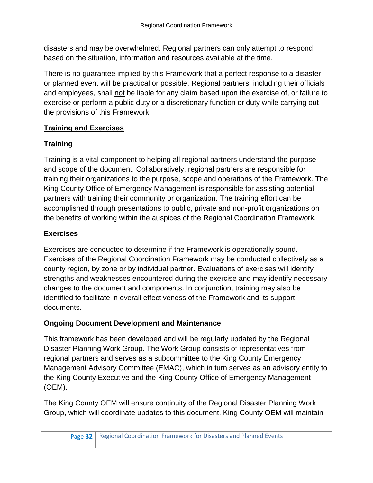disasters and may be overwhelmed. Regional partners can only attempt to respond based on the situation, information and resources available at the time.

There is no guarantee implied by this Framework that a perfect response to a disaster or planned event will be practical or possible. Regional partners, including their officials and employees, shall not be liable for any claim based upon the exercise of, or failure to exercise or perform a public duty or a discretionary function or duty while carrying out the provisions of this Framework.

#### **Training and Exercises**

# **Training**

Training is a vital component to helping all regional partners understand the purpose and scope of the document. Collaboratively, regional partners are responsible for training their organizations to the purpose, scope and operations of the Framework. The King County Office of Emergency Management is responsible for assisting potential partners with training their community or organization. The training effort can be accomplished through presentations to public, private and non-profit organizations on the benefits of working within the auspices of the Regional Coordination Framework.

# **Exercises**

Exercises are conducted to determine if the Framework is operationally sound. Exercises of the Regional Coordination Framework may be conducted collectively as a county region, by zone or by individual partner. Evaluations of exercises will identify strengths and weaknesses encountered during the exercise and may identify necessary changes to the document and components. In conjunction, training may also be identified to facilitate in overall effectiveness of the Framework and its support documents.

# **Ongoing Document Development and Maintenance**

This framework has been developed and will be regularly updated by the Regional Disaster Planning Work Group. The Work Group consists of representatives from regional partners and serves as a subcommittee to the King County Emergency Management Advisory Committee (EMAC), which in turn serves as an advisory entity to the King County Executive and the King County Office of Emergency Management (OEM).

The King County OEM will ensure continuity of the Regional Disaster Planning Work Group, which will coordinate updates to this document. King County OEM will maintain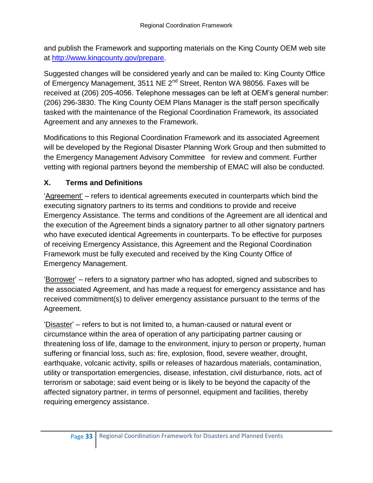and publish the Framework and supporting materials on the King County OEM web site at [http://www.kingcounty.gov/prepare.](http://www.kingcounty.gov/prepare)

Suggested changes will be considered yearly and can be mailed to: King County Office of Emergency Management, 3511 NE 2<sup>nd</sup> Street, Renton WA 98056. Faxes will be received at (206) 205-4056. Telephone messages can be left at OEM's general number: (206) 296-3830. The King County OEM Plans Manager is the staff person specifically tasked with the maintenance of the Regional Coordination Framework, its associated Agreement and any annexes to the Framework.

Modifications to this Regional Coordination Framework and its associated Agreement will be developed by the Regional Disaster Planning Work Group and then submitted to the Emergency Management Advisory Committee for review and comment. Further vetting with regional partners beyond the membership of EMAC will also be conducted.

# <span id="page-32-0"></span>**X. Terms and Definitions**

'Agreement' – refers to identical agreements executed in counterparts which bind the executing signatory partners to its terms and conditions to provide and receive Emergency Assistance. The terms and conditions of the Agreement are all identical and the execution of the Agreement binds a signatory partner to all other signatory partners who have executed identical Agreements in counterparts. To be effective for purposes of receiving Emergency Assistance, this Agreement and the Regional Coordination Framework must be fully executed and received by the King County Office of Emergency Management.

'Borrower' – refers to a signatory partner who has adopted, signed and subscribes to the associated Agreement, and has made a request for emergency assistance and has received commitment(s) to deliver emergency assistance pursuant to the terms of the Agreement.

'Disaster' – refers to but is not limited to, a human-caused or natural event or circumstance within the area of operation of any participating partner causing or threatening loss of life, damage to the environment, injury to person or property, human suffering or financial loss, such as: fire, explosion, flood, severe weather, drought, earthquake, volcanic activity, spills or releases of hazardous materials, contamination, utility or transportation emergencies, disease, infestation, civil disturbance, riots, act of terrorism or sabotage; said event being or is likely to be beyond the capacity of the affected signatory partner, in terms of personnel, equipment and facilities, thereby requiring emergency assistance.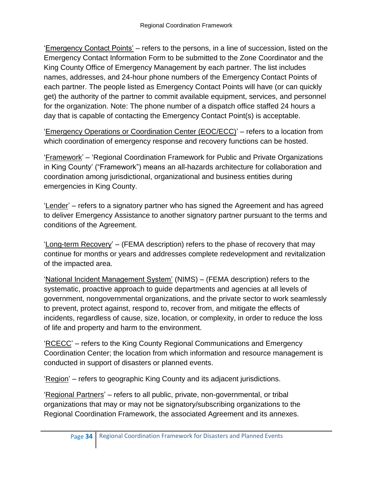'Emergency Contact Points' – refers to the persons, in a line of succession, listed on the Emergency Contact Information Form to be submitted to the Zone Coordinator and the King County Office of Emergency Management by each partner. The list includes names, addresses, and 24-hour phone numbers of the Emergency Contact Points of each partner. The people listed as Emergency Contact Points will have (or can quickly get) the authority of the partner to commit available equipment, services, and personnel for the organization. Note: The phone number of a dispatch office staffed 24 hours a day that is capable of contacting the Emergency Contact Point(s) is acceptable.

'Emergency Operations or Coordination Center (EOC/ECC)' – refers to a location from which coordination of emergency response and recovery functions can be hosted.

'Framework' – 'Regional Coordination Framework for Public and Private Organizations in King County' ("Framework") means an all-hazards architecture for collaboration and coordination among jurisdictional, organizational and business entities during emergencies in King County.

'Lender' – refers to a signatory partner who has signed the Agreement and has agreed to deliver Emergency Assistance to another signatory partner pursuant to the terms and conditions of the Agreement.

'Long-term Recovery' – (FEMA description) refers to the phase of recovery that may continue for months or years and addresses complete redevelopment and revitalization of the impacted area.

'National Incident Management System' (NIMS) – (FEMA description) refers to the systematic, proactive approach to guide departments and agencies at all levels of government, nongovernmental organizations, and the private sector to work seamlessly to prevent, protect against, respond to, recover from, and mitigate the effects of incidents, regardless of cause, size, location, or complexity, in order to reduce the loss of life and property and harm to the environment.

'RCECC' – refers to the King County Regional Communications and Emergency Coordination Center; the location from which information and resource management is conducted in support of disasters or planned events.

'Region' – refers to geographic King County and its adjacent jurisdictions.

'Regional Partners' – refers to all public, private, non-governmental, or tribal organizations that may or may not be signatory/subscribing organizations to the Regional Coordination Framework, the associated Agreement and its annexes.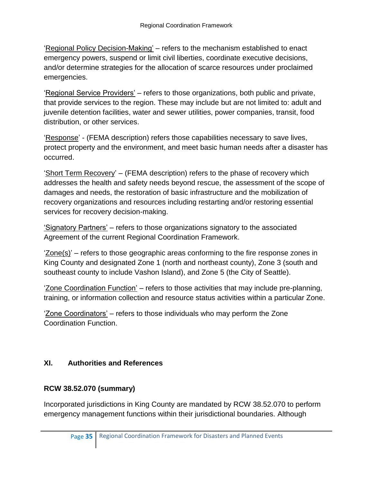'Regional Policy Decision-Making' – refers to the mechanism established to enact emergency powers, suspend or limit civil liberties, coordinate executive decisions, and/or determine strategies for the allocation of scarce resources under proclaimed emergencies.

'Regional Service Providers' – refers to those organizations, both public and private, that provide services to the region. These may include but are not limited to: adult and juvenile detention facilities, water and sewer utilities, power companies, transit, food distribution, or other services.

'Response' - (FEMA description) refers those capabilities necessary to save lives, protect property and the environment, and meet basic human needs after a disaster has occurred.

'Short Term Recovery' – (FEMA description) refers to the phase of recovery which addresses the health and safety needs beyond rescue, the assessment of the scope of damages and needs, the restoration of basic infrastructure and the mobilization of recovery organizations and resources including restarting and/or restoring essential services for recovery decision-making.

'Signatory Partners' – refers to those organizations signatory to the associated Agreement of the current Regional Coordination Framework.

'Zone(s)' – refers to those geographic areas conforming to the fire response zones in King County and designated Zone 1 (north and northeast county), Zone 3 (south and southeast county to include Vashon Island), and Zone 5 (the City of Seattle).

'Zone Coordination Function' – refers to those activities that may include pre-planning, training, or information collection and resource status activities within a particular Zone.

'Zone Coordinators' – refers to those individuals who may perform the Zone Coordination Function.

# <span id="page-34-0"></span>**XI. Authorities and References**

# **RCW 38.52.070 (summary)**

Incorporated jurisdictions in King County are mandated by RCW 38.52.070 to perform emergency management functions within their jurisdictional boundaries. Although